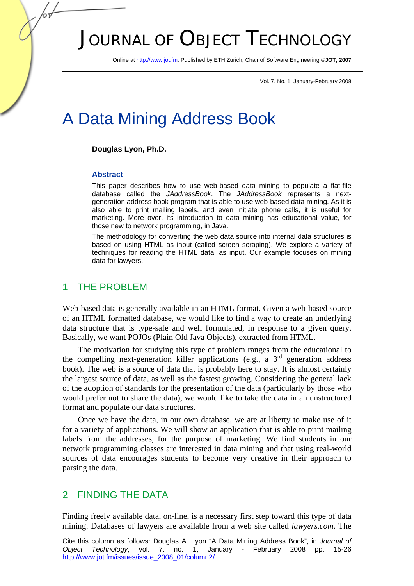# JOURNAL OF OBJECT TECHNOLOGY

Online at http://www.jot.fm. Published by ETH Zurich, Chair of Software Engineering ©**JOT, 2007** 

Vol. 7, No. 1, January-February 2008

# A Data Mining Address Book

#### **Douglas Lyon, Ph.D.**

#### **Abstract**

This paper describes how to use web-based data mining to populate a flat-file database called the *JAddressBook*. The *JAddressBook* represents a nextgeneration address book program that is able to use web-based data mining. As it is also able to print mailing labels, and even initiate phone calls, it is useful for marketing. More over, its introduction to data mining has educational value, for those new to network programming, in Java.

The methodology for converting the web data source into internal data structures is based on using HTML as input (called screen scraping). We explore a variety of techniques for reading the HTML data, as input. Our example focuses on mining data for lawyers.

#### 1 THE PROBLEM

Web-based data is generally available in an HTML format. Given a web-based source of an HTML formatted database, we would like to find a way to create an underlying data structure that is type-safe and well formulated, in response to a given query. Basically, we want POJOs (Plain Old Java Objects), extracted from HTML.

The motivation for studying this type of problem ranges from the educational to the compelling next-generation killer applications (e.g., a  $3<sup>rd</sup>$  generation address book). The web is a source of data that is probably here to stay. It is almost certainly the largest source of data, as well as the fastest growing. Considering the general lack of the adoption of standards for the presentation of the data (particularly by those who would prefer not to share the data), we would like to take the data in an unstructured format and populate our data structures.

Once we have the data, in our own database, we are at liberty to make use of it for a variety of applications. We will show an application that is able to print mailing labels from the addresses, for the purpose of marketing. We find students in our network programming classes are interested in data mining and that using real-world sources of data encourages students to become very creative in their approach to parsing the data.

### 2 FINDING THE DATA

Finding freely available data, on-line, is a necessary first step toward this type of data mining. Databases of lawyers are available from a web site called *lawyers.com*. The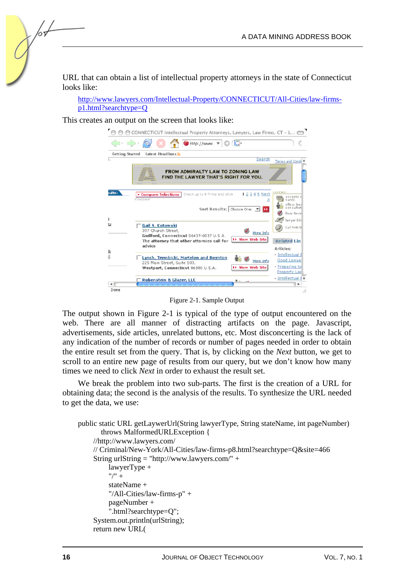URL that can obtain a list of intellectual property attorneys in the state of Connecticut looks like:

http://www.lawyers.com/Intellectual-Property/CONNECTICUT/All-Cities/law-firmsp1.html?searchtype=Q

This creates an output on the screen that looks like:

| CONNECTICUT Intellectual Property Attorneys, Lawyers, Law Firms, CT - L                                          |                                                              |
|------------------------------------------------------------------------------------------------------------------|--------------------------------------------------------------|
| Inttp://www. \ C (C                                                                                              |                                                              |
| <b>Getting Started</b><br>Latest Headlines S                                                                     |                                                              |
| ξ.<br>Search                                                                                                     | Terms and Condi 4                                            |
| <b>FROM ADMIRALTY LAW TO ZONING LAW</b><br>FIND THE LAWYER THAT'S RIGHT FOR YOU.                                 |                                                              |
| <b>ults:</b><br>1 2 3 4 5 Next<br>Check up to 4 Firms and click<br>▼ Compare Selections<br>'Compare'             | <b>EGEND</b><br>accepts<br>cards<br>offers free<br>on cultat |
| Sort Results: Choose One: 7 1<br>ı                                                                               | <b>Peer Revie</b><br>lawyer blo                              |
| 改<br>Gail S. Kotowski<br>397 Church Street,<br>More Info<br>Guilford, Connecticut 06437-0037 U.S.A.              | Call Firm N                                                  |
| <b>&gt;&gt; View Web Site</b><br>The attomey that other attomies call for<br>advice<br>豇                         | <b>Related Lin</b><br>Articles:                              |
| 5)<br>Lynch, Trembicki, Martelon and Boynton<br>More Info<br>225 Main Street, Suite 103,<br><b>View Web Site</b> | - Intellectual I<br>Good Lawye<br>- Preparing to             |
| Westport, Connecticut 06880 U.S.A.                                                                               | <b>Property Lav</b><br>- Intellectual I v                    |
| <b>Rubenstein &amp; Glazer, LLC</b>                                                                              | ٠                                                            |
| Done                                                                                                             |                                                              |

Figure 2-1. Sample Output

The output shown in Figure 2-1 is typical of the type of output encountered on the web. There are all manner of distracting artifacts on the page. Javascript, advertisements, side articles, unrelated buttons, etc. Most disconcerting is the lack of any indication of the number of records or number of pages needed in order to obtain the entire result set from the query. That is, by clicking on the *Next* button, we get to scroll to an entire new page of results from our query, but we don't know how many times we need to click *Next* in order to exhaust the result set.

We break the problem into two sub-parts. The first is the creation of a URL for obtaining data; the second is the analysis of the results. To synthesize the URL needed to get the data, we use:

```
public static URL getLaywerUrl(String lawyerType, String stateName, int pageNumber) 
        throws MalformedURLException { 
     //http://www.lawyers.com/ 
     // Criminal/New-York/All-Cities/law-firms-p8.html?searchtype=Q&site=466 
     String urlString = "http://www.lawyers.com/" + 
          lawyerType + 
         "/" +
          stateName + 
          "/All-Cities/law-firms-p" + 
          pageNumber + 
          ".html?searchtype=Q"; 
     System.out.println(urlString); 
     return new URL(
```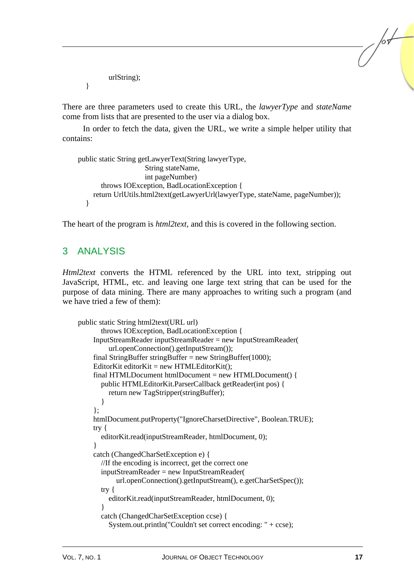urlString);

}

There are three parameters used to create this URL, the *lawyerType* and *stateName* come from lists that are presented to the user via a dialog box.

In order to fetch the data, given the URL, we write a simple helper utility that contains:

```
public static String getLawyerText(String lawyerType, 
                      String stateName, 
                      int pageNumber) 
        throws IOException, BadLocationException { 
     return UrlUtils.html2text(getLawyerUrl(lawyerType, stateName, pageNumber)); 
   }
```
The heart of the program is *html2text*, and this is covered in the following section.

## 3 ANALYSIS

*Html2text* converts the HTML referenced by the URL into text, stripping out JavaScript, HTML, etc. and leaving one large text string that can be used for the purpose of data mining. There are many approaches to writing such a program (and we have tried a few of them):

```
public static String html2text(URL url) 
        throws IOException, BadLocationException { 
     InputStreamReader inputStreamReader = new InputStreamReader( 
          url.openConnection().getInputStream()); 
    final StringBuffer stringBuffer = new StringBuffer(1000);
    EditorKit editorKit = new HTMLEditorKit();
     final HTMLDocument htmlDocument = new HTMLDocument() { 
        public HTMLEditorKit.ParserCallback getReader(int pos) { 
          return new TagStripper(stringBuffer); 
        } 
      }; 
     htmlDocument.putProperty("IgnoreCharsetDirective", Boolean.TRUE); 
     try { 
        editorKit.read(inputStreamReader, htmlDocument, 0); 
      } 
     catch (ChangedCharSetException e) { 
        //If the encoding is incorrect, get the correct one 
        inputStreamReader = new InputStreamReader( 
             url.openConnection().getInputStream(), e.getCharSetSpec()); 
        try { 
          editorKit.read(inputStreamReader, htmlDocument, 0); 
        } 
        catch (ChangedCharSetException ccse) { 
          System.out.println("Couldn't set correct encoding: " + ccse);
```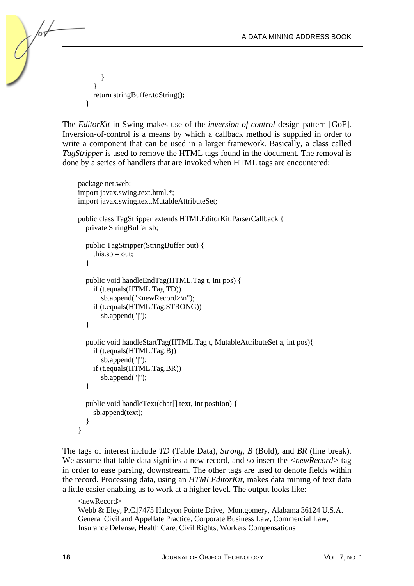} } return stringBuffer.toString(); }

The *EditorKit* in Swing makes use of the *inversion-of-control* design pattern [GoF]. Inversion-of-control is a means by which a callback method is supplied in order to write a component that can be used in a larger framework. Basically, a class called *TagStripper* is used to remove the HTML tags found in the document. The removal is done by a series of handlers that are invoked when HTML tags are encountered:

```
package net.web; 
import javax.swing.text.html.*; 
import javax.swing.text.MutableAttributeSet; 
public class TagStripper extends HTMLEditorKit.ParserCallback { 
   private StringBuffer sb; 
   public TagStripper(StringBuffer out) { 
     this.sb = out;
   } 
   public void handleEndTag(HTML.Tag t, int pos) { 
      if (t.equals(HTML.Tag.TD)) 
        sb.append("<newRecord>\n"); 
      if (t.equals(HTML.Tag.STRONG)) 
        sb.append("|"); 
   } 
   public void handleStartTag(HTML.Tag t, MutableAttributeSet a, int pos){ 
      if (t.equals(HTML.Tag.B)) 
        sb.append("|"); 
      if (t.equals(HTML.Tag.BR)) 
        sb.append("|"); 
   } 
   public void handleText(char[] text, int position) { 
      sb.append(text); 
   } 
}
```
The tags of interest include *TD* (Table Data), *Strong*, *B* (Bold), and *BR* (line break). We assume that table data signifies a new record, and so insert the *<newRecord>* tag in order to ease parsing, downstream. The other tags are used to denote fields within the record. Processing data, using an *HTMLEditorKit,* makes data mining of text data a little easier enabling us to work at a higher level. The output looks like:

```
<newRecord> 
Webb & Eley, P.C.|7475 Halcyon Pointe Drive, |Montgomery, Alabama 36124 U.S.A. 
General Civil and Appellate Practice, Corporate Business Law, Commercial Law, 
Insurance Defense, Health Care, Civil Rights, Workers Compensations
```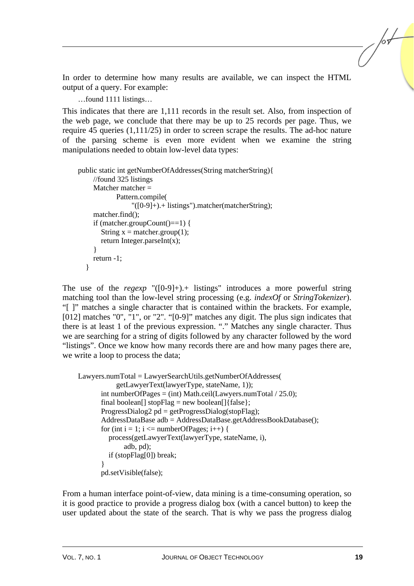In order to determine how many results are available, we can inspect the HTML output of a query. For example:

…found 1111 listings…

This indicates that there are 1,111 records in the result set. Also, from inspection of the web page, we conclude that there may be up to 25 records per page. Thus, we require 45 queries (1,111/25) in order to screen scrape the results. The ad-hoc nature of the parsing scheme is even more evident when we examine the string manipulations needed to obtain low-level data types:

```
public static int getNumberOfAddresses(String matcherString){ 
      //found 325 listings 
     Matcher matcher = Pattern.compile( 
                   "([0-9]+).+ listings").matcher(matcherString); 
      matcher.find(); 
      if (matcher.groupCount()==1) { 
       String x = matcher.group(1);
       return Integer.parseInt(x);
 } 
      return -1; 
   }
```
The use of the *regexp* "([0-9]+).+ listings" introduces a more powerful string matching tool than the low-level string processing (e.g. *indexOf* or *StringTokenizer*). "[ ]" matches a single character that is contained within the brackets. For example, [012] matches "0", "1", or "2". "[0-9]" matches any digit. The plus sign indicates that there is at least 1 of the previous expression. "." Matches any single character. Thus we are searching for a string of digits followed by any character followed by the word "listings". Once we know how many records there are and how many pages there are, we write a loop to process the data;

```
Lawyers.numTotal = LawyerSearchUtils.getNumberOfAddresses( 
             getLawyerText(lawyerType, stateName, 1)); 
       int numberOfPages = (int) Math.ceil(Lawyers.numTotal / 25.0);
       final boolean<sup>[]</sup> stopFlag = new boolean<sup>[]</sup>{false};
       ProgressDialog2 pd = getProgressDialog(stopFlag);
        AddressDataBase adb = AddressDataBase.getAddressBookDatabase(); 
       for (int i = 1; i \le numberOfPages; i++) {
           process(getLawyerText(lawyerType, stateName, i), 
                adb, pd); 
           if (stopFlag[0]) break; 
 } 
        pd.setVisible(false);
```
From a human interface point-of-view, data mining is a time-consuming operation, so it is good practice to provide a progress dialog box (with a cancel button) to keep the user updated about the state of the search. That is why we pass the progress dialog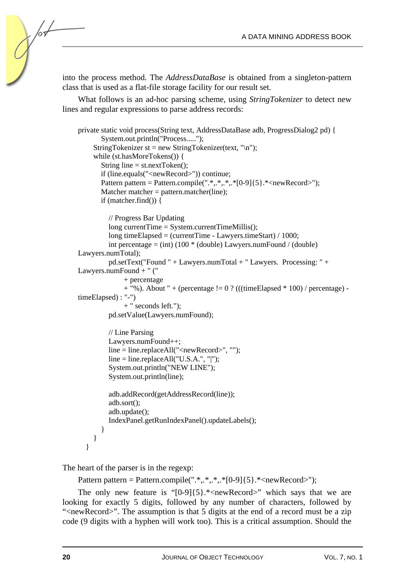into the process method. The *AddressDataBase* is obtained from a singleton-pattern class that is used as a flat-file storage facility for our result set.

What follows is an ad-hoc parsing scheme, using *StringTokenizer* to detect new lines and regular expressions to parse address records:

```
private static void process(String text, AddressDataBase adb, ProgressDialog2 pd) { 
        System.out.println("Process....."); 
     StringTokenizer st = new StringTokenizer(text, "\langle n'' \rangle;
      while (st.hasMoreTokens()) { 
       String line = st.nextToken():
        if (line.equals("<newRecord>")) continue; 
       Pattern pattern = Pattern.compile(".*,.*,.*,*[0-9]{5}.*<newRecord>");
       Matcher matcher = pattern.matcher(line);
        if (matcher.find()) { 
           // Progress Bar Updating 
           long currentTime = System.currentTimeMillis(); 
           long timeElapsed = (currentTime - Lawyers.timeStart) / 1000; 
          int percentage = (int) (100 * (double) Lawyers.numFound / (double)
Lawyers.numTotal); 
           pd.setText("Found " + Lawyers.numTotal + " Lawyers. Processing: " + 
Lawyers.numFound + " (" 
                + percentage 
               + "%). About " + (percentage != 0 ? (((timeElapsed * 100) / percentage) -
timeElapsed) : "-") 
                + " seconds left."); 
           pd.setValue(Lawyers.numFound); 
           // Line Parsing 
           Lawyers.numFound++; 
           line = line.replaceAll("<newRecord>", ""); 
          line = line.replaceAll("U.S.A."," "|");
           System.out.println("NEW LINE"); 
           System.out.println(line); 
           adb.addRecord(getAddressRecord(line)); 
           adb.sort(); 
           adb.update(); 
           IndexPanel.getRunIndexPanel().updateLabels(); 
        } 
      } 
   }
```
The heart of the parser is in the regexp:

```
Pattern pattern = Pattern.compile(".*..*.*(0-9){5}.*(newRecord>);
```
The only new feature is " $[0-9]{5}$ .\*<newRecord>" which says that we are looking for exactly 5 digits, followed by any number of characters, followed by "<newRecord>". The assumption is that 5 digits at the end of a record must be a zip code (9 digits with a hyphen will work too). This is a critical assumption. Should the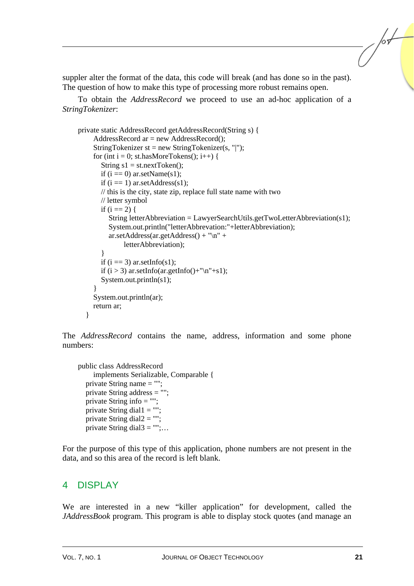suppler alter the format of the data, this code will break (and has done so in the past). The question of how to make this type of processing more robust remains open.

To obtain the *AddressRecord* we proceed to use an ad-hoc application of a *StringTokenizer*:

```
private static AddressRecord getAddressRecord(String s) { 
     AddressRecord ar = new AddressRecord();
     StringTokenizer st = new StringTokenizer(s, "|");
     for (int i = 0; st.hasMoreTokens(); i++) {
       String s1 = st.nextToken():
       if (i == 0) ar.setName(s1):
       if (i == 1) ar.setAddress(s1);
        // this is the city, state zip, replace full state name with two 
        // letter symbol 
       if (i == 2) {
          String letterAbbreviation = LawyerSearchUtils.getTwoLetterAbbreviation(s1);
           System.out.println("letterAbbrevation:"+letterAbbreviation); 
           ar.setAddress(ar.getAddress() + "\n" + 
                letterAbbreviation); 
        } 
       if (i == 3) ar.setInfo(s1);
       if (i > 3) ar.setInfo(ar.getInfo()+"\n"+s1);
        System.out.println(s1); 
 } 
      System.out.println(ar); 
      return ar; 
   }
```
The *AddressRecord* contains the name, address, information and some phone numbers:

```
public class AddressRecord 
      implements Serializable, Comparable { 
   private String name = ""; 
   private String address = ""; 
  private String info = "";
  private String dial1 ="";
  private String dial2 = "";
  private String dial3 ="";...
```
For the purpose of this type of this application, phone numbers are not present in the data, and so this area of the record is left blank.

#### 4 DISPLAY

We are interested in a new "killer application" for development, called the *JAddressBook* program. This program is able to display stock quotes (and manage an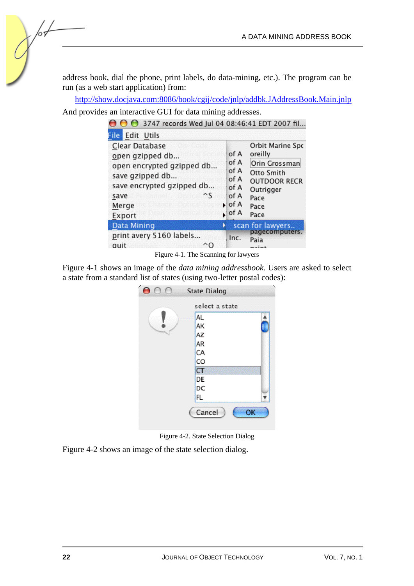address book, dial the phone, print labels, do data-mining, etc.). The program can be run (as a web start application) from:

http://show.docjava.com:8086/book/cgij/code/jnlp/addbk.JAddressBook.Main.jnlp

And provides an interactive GUI for data mining addresses.

| $\bigcirc$ 3747 records Wed Jul 04 08:46:41 EDT 2007 fil.                                                                                                  |                                                                 |                                                                                                                        |
|------------------------------------------------------------------------------------------------------------------------------------------------------------|-----------------------------------------------------------------|------------------------------------------------------------------------------------------------------------------------|
| <b>File Edit Utils</b>                                                                                                                                     |                                                                 |                                                                                                                        |
| Clear Database<br>open gzipped db<br>open encrypted gzipped db<br>save gzipped db<br>save encrypted gzipped db<br>$\mathcal{S}$<br>save<br>Merge<br>Export | of A<br>of A<br>of A<br>of A<br>of A<br>of A<br>l∍ of A<br>of A | Orbit Marine Spc<br>oreilly<br>Orin Grossman<br>Otto Smith<br><b>OUTDOOR RECR</b><br>Outrigger<br>Pace<br>Pace<br>Pace |
| Data Mining                                                                                                                                                |                                                                 | scan for lawyers                                                                                                       |
| print avery 5160 labels<br>quit                                                                                                                            | Inc.                                                            | pagecomputers.<br>Paia<br>nnint                                                                                        |

Figure 4-1. The Scanning for lawyers

Figure 4-1 shows an image of the *data mining addressbook*. Users are asked to select a state from a standard list of states (using two-letter postal codes):



Figure 4-2. State Selection Dialog

Figure 4-2 shows an image of the state selection dialog.

65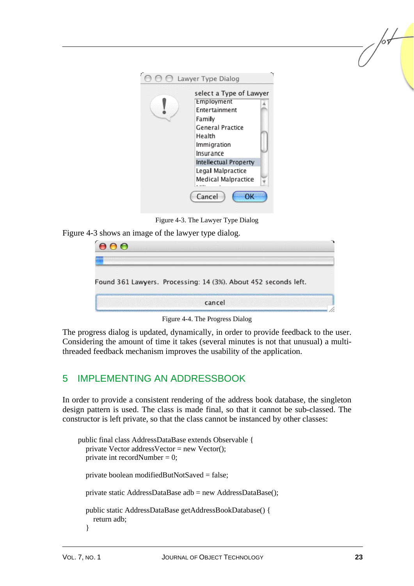

Figure 4-3. The Lawyer Type Dialog

Figure 4-3 shows an image of the lawyer type dialog.

| <b>CO</b>                                                       |        |  |  |
|-----------------------------------------------------------------|--------|--|--|
| Found 361 Lawyers. Processing: 14 (3%). About 452 seconds left. |        |  |  |
|                                                                 | cancel |  |  |

Figure 4-4. The Progress Dialog

The progress dialog is updated, dynamically, in order to provide feedback to the user. Considering the amount of time it takes (several minutes is not that unusual) a multithreaded feedback mechanism improves the usability of the application.

# 5 IMPLEMENTING AN ADDRESSBOOK

In order to provide a consistent rendering of the address book database, the singleton design pattern is used. The class is made final, so that it cannot be sub-classed. The constructor is left private, so that the class cannot be instanced by other classes:

```
public final class AddressDataBase extends Observable { 
  private Vector addressVector = new Vector();
  private int recordNumber = 0;
   private boolean modifiedButNotSaved = false; 
   private static AddressDataBase adb = new AddressDataBase(); 
   public static AddressDataBase getAddressBookDatabase() { 
      return adb; 
   }
```
/sL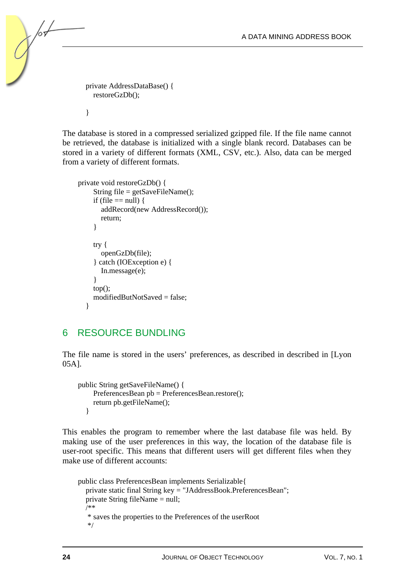private AddressDataBase() { restoreGzDb();

}

The database is stored in a compressed serialized gzipped file. If the file name cannot be retrieved, the database is initialized with a single blank record. Databases can be stored in a variety of different formats (XML, CSV, etc.). Also, data can be merged from a variety of different formats.

```
private void restoreGzDb() { 
      String file = getSaveFileName(); 
     if (file == null) {
         addRecord(new AddressRecord()); 
         return; 
      } 
      try { 
         openGzDb(file); 
      } catch (IOException e) { 
         In.message(e); 
      } 
     top();
     modifiedButNotSaved = false:
   }
```
# 6 RESOURCE BUNDLING

The file name is stored in the users' preferences, as described in described in [Lyon 05A].

```
public String getSaveFileName() { 
      PreferencesBean pb = PreferencesBean.restore(); 
      return pb.getFileName(); 
   }
```
This enables the program to remember where the last database file was held. By making use of the user preferences in this way, the location of the database file is user-root specific. This means that different users will get different files when they make use of different accounts:

```
public class PreferencesBean implements Serializable{ 
   private static final String key = "JAddressBook.PreferencesBean"; 
   private String fileName = null; 
   /** 
    * saves the properties to the Preferences of the userRoot 
    */
```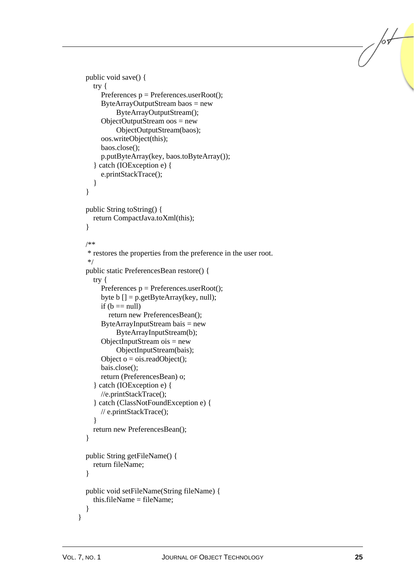```
 public void save() { 
      try { 
       Preferences p = Preferences.userRoot();
        ByteArrayOutputStream baos = new 
              ByteArrayOutputStream(); 
       ObjectOutputStream <math>oos = new ObjectOutputStream(baos); 
        oos.writeObject(this); 
        baos.close(); 
        p.putByteArray(key, baos.toByteArray()); 
      } catch (IOException e) { 
        e.printStackTrace(); 
      } 
   } 
   public String toString() { 
     return CompactJava.toXml(this); 
   } 
   /** 
    * restores the properties from the preference in the user root. 
    */ 
   public static PreferencesBean restore() { 
      try { 
       Preferences p = Preferences.userRoot();
       byte b [] = p.getByteArray(key, null);if (b == null) return new PreferencesBean(); 
       ByteArrayInputStream \, \, bais = new ByteArrayInputStream(b); 
       ObjectInputStream ois = new ObjectInputStream(bais); 
       Object o = o is readObject();
        bais.close(); 
        return (PreferencesBean) o; 
      } catch (IOException e) { 
        //e.printStackTrace(); 
      } catch (ClassNotFoundException e) { 
        // e.printStackTrace(); 
      } 
     return new PreferencesBean(); 
   } 
   public String getFileName() { 
     return fileName; 
   } 
   public void setFileName(String fileName) { 
    this.fileName = fileName:
   } 
}
```
/or